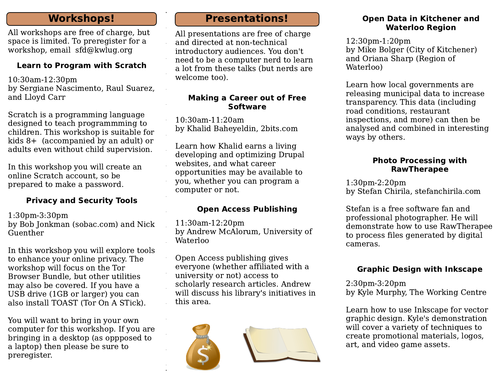## **Workshops!**

All workshops are free of charge, but space is limited. To preregister for a workshop, email sfd@kwlug.org

#### **Learn to Program with Scratch**

10:30am-12:30pm by Sergiane Nascimento, Raul Suarez, and Lloyd Carr

Scratch is a programming language designed to teach programmming to children. This workshop is suitable for kids  $8+$  (accompanied by an adult) or adults even without child supervision.

In this workshop you will create an online Scratch account, so be prepared to make a password.

## **Privacy and Security Tools**

 $1:30$ pm $-3:30$ pm by Bob Jonkman (sobac.com) and Nick Guenther

In this workshop you will explore tools to enhance your online privacy. The workshop will focus on the Tor Browser Bundle, but other utilities may also be covered. If you have a USB drive (1GB or larger) you can also install TOAST (Tor On A STick).

You will want to bring in your own computer for this workshop. If you are bringing in a desktop (as oppposed to a laptop) then please be sure to preregister.

# **Presentations!**

All presentations are free of charge and directed at non-technical introductory audiences. You don't need to be a computer nerd to learn a lot from these talks (but nerds are welcome too).

#### **Making a Career out of Free Software**

10:30am-11:20am by Khalid Baheyeldin, 2bits.com

Learn how Khalid earns a living developing and optimizing Drupal websites, and what career opportunities may be available to you, whether you can program a computer or not.

## **Open Access Publishing**

11:30am-12:20pm by Andrew McAlorum, University of Waterloo

Open Access publishing gives everyone (whether affiliated with a university or not) access to scholarly research articles. Andrew will discuss his library's initiatives in this area.



#### **Open Data in Kitchener and Waterloo Region**

12:30pm-1:20pm by Mike Bolger (City of Kitchener) and Oriana Sharp (Region of Waterloo)

Learn how local governments are releasing municipal data to increase transparency. This data (including road conditions, restaurant inspections, and more) can then be analysed and combined in interesting ways by others.

#### **Photo Processing with RawTherapee**

 $1:30$ pm- $2:20$ pm by Stefan Chirila, stefanchirila.com

Stefan is a free software fan and professional photographer. He will demonstrate how to use RawTherapee to process files generated by digital cameras.

## **Graphic Design with Inkscape**

 $2:30$ pm $-3:20$ pm by Kyle Murphy, The Working Centre

Learn how to use Inkscape for vector graphic design. Kyle's demonstration will cover a variety of techniques to create promotional materials, logos, art, and video game assets.